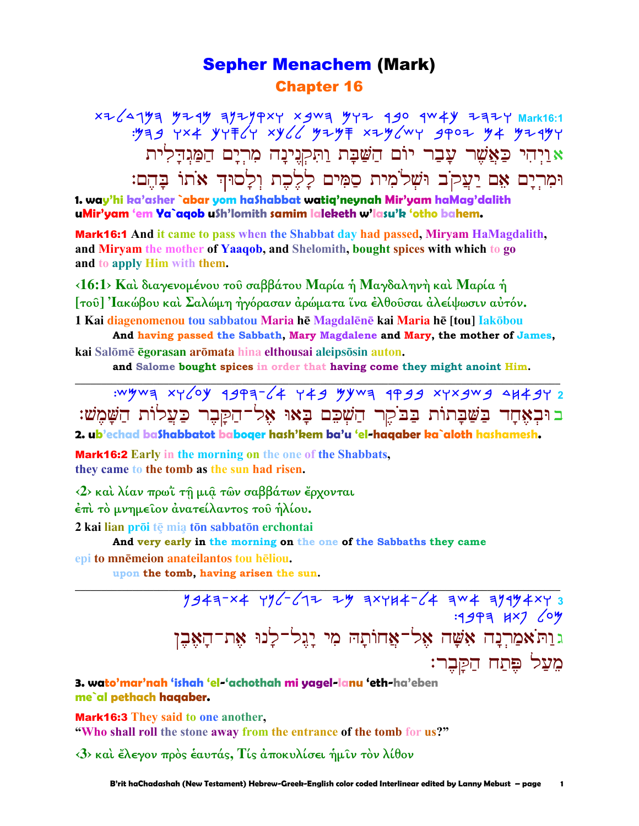## **Sepher Menachem (Mark) Chapter 16**

אַוַיִּהִי כַּאֲשֵׁר עָבָר יוֹם הַשַּׁבָּת וַתִּקְנִינָה מִרְיָם הַמַּגִּדְלִית וּמְרִיַם אֶם יַעֲקֹב וּשָׁלֹמִית סֲמִים לַלֵבֶת וְלַסוּדְ אֹתוֹ בַּהֵם:

1. way'hi ka'asher `abar yom ha\$habbat watiq'neynah Mir'yam haMag'dalith uMir'yam 'em Ya`aqob u\$h'lomith samim laleketh w'lasu'k 'otho bahem.

**Mark16:1** And it came to pass when the Shabbat day had passed, Miryam HaMagdalith, and Miryam the mother of Yaaqob, and Shelomith, bought spices with which to go and to apply Him with them.

<16:1> Καί διαγενομένου του σαββάτου Μαρία ή Μαγδαληνή καί Μαρία ή [του] Ιακώβου και Σαλώμη ήγόρασαν αρώματα ίνα ελθουσαι αλείψωσιν αυτόν. 1 Kai diagenomenou tou sabbatou Maria hē Magdalēnē kai Maria hē [tou] Iakōbou

And having passed the Sabbath, Mary Magdalene and Mary, the mother of James, kai Salōmē egorasan arōmata hina elthousai aleipsōsin auton.

and Salome bought spices in order that having come they might anoint Him.

: wywa xy / 0y 494a- / 4 y 49 y y wa 4499 xyx gw g 4x 4y 2 בוּבְאָחָד בַשַּׁבָתוֹת בַבֹקֵר הַשָּׁבֶם בָאוּ אָל־הַקַּבֶר כַּעֲלוֹת הַשָּׁמֵשׁ:

2. ub'echad bashabbatot baboqer hash'kem ba'u 'el-haqaber ka`aloth hashamesh.

**Mark16:2** Early in the morning on the one of the Shabbats. they came to the tomb as the sun had risen.

<2> και λίαν πρωΐ τη μια των σαββάτων έρχονται

έπι το μνημείον άνατείλαντος του ήλίου.

2 kai lian prōi tē mia tōn sabbatōn erchontai

And very early in the morning on the one of the Sabbaths they came epi to mnēmeion anateilantos tou hēliou.

upon the tomb, having arisen the sun.

 $1947-x4$   $196-617$   $75$   $75$   $754-64$   $754$   $754$   $753$ : 1947 KX7 64 <u>גוַה אמרנה אָשָה אֱל־אֲחוֹתָהּ מִי יַגֲל־לַנוּ אֶת־הָאֶבֶן</u> מֵעַל פֵּתַח הַקַּבֵר:

3. wato'mar'nah 'ishah 'el-'achothah mi yagel-lanu 'eth-ha'eben me`al pethach hagaber.

**Mark16:3** They said to one another, "Who shall roll the stone away from the entrance of the tomb for us?"

<3> και έλεγον προς έαυτάς, Τίς αποκυλίσει ήμιν τον λίθον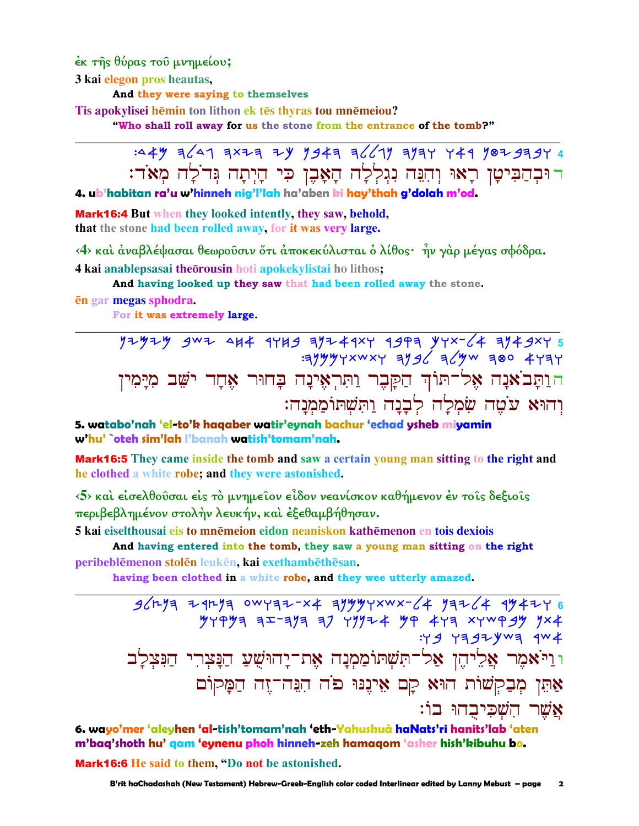έκ της θύρας του μνημείου;

3 kai elegon pros heautas,

And they were saying to themselves

Tis apokylisei hēmin ton lithon ek tēs thyras tou mnēmeiou?

"Who shall roll away for us the stone from the entrance of the tomb?"

:44 7629344 7443 2443 36677 3744 744 744 374 4 דוּבְהַבִּיטַן רַאוּ וְהִנֵּה נְגִלְלַה הַאָּבֶן כִּי הַיְתַה גִּדֹלַה מְאֹד:

4. ub'habitan ra'u w'hinneh nig'l'lah ha'aben ki hay'thah g'dolah m'od.

**Mark16:4** But when they looked intently, they saw, behold, that the stone had been rolled away, for it was very large.

<4> και άναβλέψασαι θεωρούσιν ὄτι άποκεκύλισται ὁ λίθος· ἦν γάρ μέγας σφόδρα. 4 kai anablepsasai theorousin hoti apokekylistai ho lithos;

And having looked up they saw that had been rolled away the stone.

en gar megas sphodra.

For it was extremely large.

 $77979 907 907 904 1789 19774407 1993 197764 19777 19776$ הוַתַּבֹאֲנָה אֶל־תּוֹךְ הַקַּבֶר וַתְּרְאֵינָה בָחוּר אֶחָד יֹשֵׁב מְיַמִין וְהוּא עֹטֶה שִׂמְלַָה לְבָנָה וַתְּשָׁתּוֹמַמְנָה:

5. watabo'nah 'el-to'k haqaber watir'eynah bachur 'echad ysheb miyamin w'hu' `oteh sim'lah l'banah watish'tomam'nah.

**Mark16:5** They came inside the tomb and saw a certain young man sitting to the right and he clothed a white robe; and they were astonished.

 $5$  και είσελθούσαι είς το μνημείον είδον νεανίσκον καθήμενον έν τοις δεξιοις περιβεβλημένον στολήν λευκήν, και εξεθαμβήθησαν.

5 kaj eiselthousaj eis to mnēmejon eidon neaniskon kathēmenon en tois dexiois

And having entered into the tomb, they saw a young man sitting on the right peribeblēmenon stolēn leukēn, kai exethambēthēsan.

having been clothed in a white robe, and they wee utterly amazed.

 $36r^{14}$  2 12/2 0WY32-x4 3/44YXWX-64 13264 1442Y 6  $749997$  3  $x - 373$  37  $79974$   $499$   $473$   $x + 999$   $99$   $7 \times 4$  $: Y 9 Y 3 97 Y W 3 4 W 4$ וּוַיֹּאמֶר אֲלֵיהֵן אַל־תִּשָׁתוֹמַמְנַה אֶת־יַחוּשִׁעַ הַנַּצִרִי הַנִּצִלַב אַתֵּן מִבַקִשׁוֹת הוּא קָם אֵינֵנּוּ פֹּה הִגֲה־זֶה הַמָּקוֹם אַשר השכיבהו בו:

6. wayo'mer 'aleyhen 'al-tish'tomam'nah 'eth-Yahushuà haNats'ri hanits'lab 'aten m'baq'shoth hu' qam 'eynenu phoh hinneh-zeh hamaqom 'asher hish'kibuhu bo. Mark16:6 He said to them. "Do not be astonished.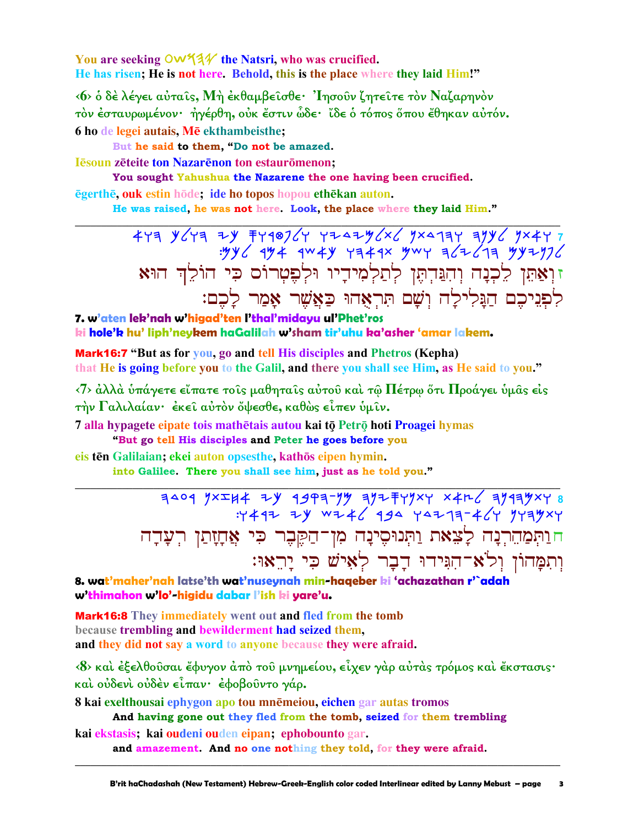You are seeking OW534 the Natsri, who was crucified. He has risen; He is not here. Behold, this is the place where they laid Him!"

<6> ο δέλέγει αύταΐς, Μή εκθαμβεΐσθε· 'Ιησούν ζητεΐτε τον Ναζαρηνον τον έσταυρωμένον· ήγέρθη, ούκ έστιν ώδε· ίδε ο τόπος όπου έθηκαν αύτόν. 6 ho de legei autais, Mē ekthambeisthe;

But he said to them, "Do not be amazed.

**I** Esoun zeteite ton Nazarenon ton estauromenon:

You sought Yahushua the Nazarene the one having been crucified. ēgerthē, ouk estin hōde; ide ho topos hopou ethēkan auton.

He was raised, he was not here. Look, the place where they laid Him."

זוְאַתֵּן לֵכְנָה וְהִנֵּדְתֶּן לְתַלְמִידָיו וּלְפֶטְרוֹס כִּי הוֹלֵךְ הוּא לִפְנִיכֵם הַנֵּלִילַה וְשָׁם תִּרְאָהוּ כַּאֲשֶׁר אָמַר לָכֶם:

7. w'aten lek'nah w'higad'ten l'thal'midayu ul'Phet'ros ki hole'k hu' liph'neykem haGalilah w'sham tir'uhu ka'asher 'amar lakem.

Mark16:7 "But as for you, go and tell His disciples and Phetros (Kepha) that He is going before you to the Galil, and there you shall see Him, as He said to you."

 $\langle 7 \rangle$  άλλά υπάγετε είπατε τοις μαθηταις αυτου και τω Πέτρω ότι Προάγει υμας είς την Γαλιλαίαν· έκει αύτον ὄψεσθε, καθώς είπεν ύμιν.

7 alla hypagete eipate tois mathētais autou kai tō Petrō hoti Proagei hymas

"But go tell His disciples and Peter he goes before you

eis tēn Galilaian; ekei auton opsesthe, kathōs eipen hymin.

into Galilee. There you shall see him, just as he told you."

 $7409 yxxx + 7y 1999 - 7y 1757yx + x4x - 1749yx + 8  
+2499 yx + 1757yx + 1757yx + 1757yx + 1757yx + 1757yx + 1757yx + 1757y + 1757y + 1757y + 1757y + 1757y + 1757y + 1757y + 1757y + 1757y + 1757y + 1757y + 1757y + 1757y + 1757y + 1757y + 1757y + 1757y +$ חוַתִּמַהֵרְנָה לָצֵאת וַתְּנוּסֵינָה מִן־הַקֵּבֶר כִּי אֲחָזָתַן רִעֲדָה וְתִמְּהוֹן וְלֹא־הִגִּידוּ דָבָר לְאִישׁ כִּי יַרְאוּ:

8. wat'maher'nah latse'th wat'nuseynah min-haqeber ki 'achazathan r'`adah w'thimahon w'lo'-higidu dabar l'ish ki yare'u.

**Mark16:8** They immediately went out and fled from the tomb because trembling and bewilderment had seized them, and they did not say a word to anyone because they were afraid.

<8> και έξελθούσαι έφυγον άπό του μνημείου, είχεν γάρ αύτάς τρόμος και έκστασις· και ούδενι ούδεν είπαν· έφοβούντο γάρ.

8 kai exelthousai ephygon apo tou mnēmeiou, eichen gar autas tromos

And having gone out they fled from the tomb, seized for them trembling kai ekstasis; kai oudeni ouden eipan; ephobounto gar.

and amazement. And no one nothing they told, for they were afraid.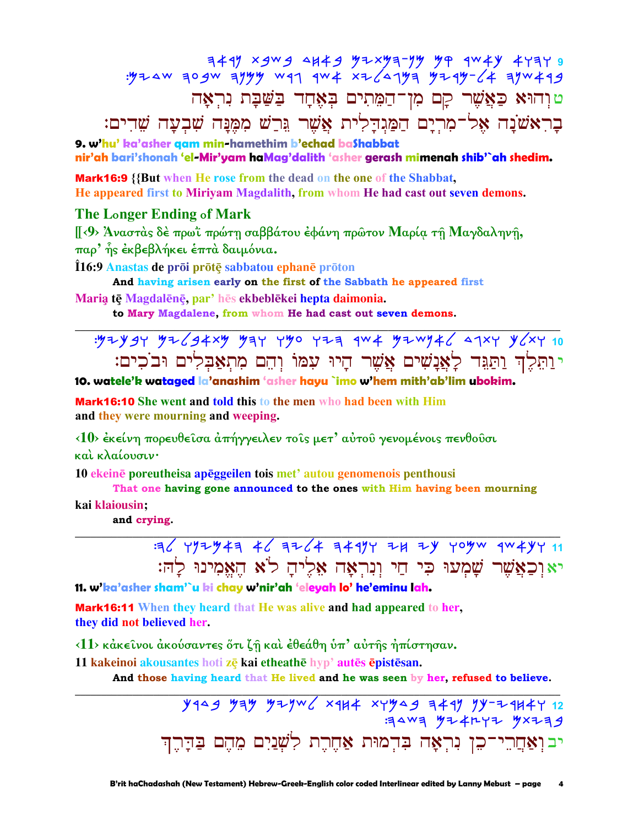e TFTT VAW THE WYTHE CHAP PURE YARE THE SURF WARD.<br>BAW FUNGE WASTER FUNG YARE THE THE WEOF WARD. טוְהוּא כַּאֲשֶׁר קָם מִן־הַמֵּתִים בְאֶחָד בַּשַּׁבָּת נִרְאָה בָרִאֹשֹׁנָה אָל־מְרִיָם הַמַּגְדָלִית אֲשֶׁר גֲרָשׁ מִמֶּנָּה שִׁבְעָה שֶׁדִים:

9. w'hu' ka'asher gam min-hamethim b'echad baShabbat nir'ah bari'shonah 'el-Mir'yam haMag'dalith 'asher gerash mimenah shib'`ah shedim.

Mark16:9 {{But when He rose from the dead on the one of the Shabbat, He appeared first to Miriyam Magdalith, from whom He had cast out seven demons.

## **The Longer Ending of Mark**

[[<9> Άναστάς δέ πρωΐ πρώτη σαββάτου έφάνη πρώτον Μαρία τη Μαγδαληνη, παρ' ης έκβεβλήκει έπτά δαιμόνια.

Î16:9 Anastas de prōi prōtē sabbatou ephanē prōton

And having arisen early on the first of the Sabbath he appeared first

Maria tē Magdalēnē, par' hēs ekbeblēkei hepta daimonia.

to Mary Magdalene, from whom He had cast out seven demons.

י ותלד ותגד לאנשים אשר היו עמו והם מתאבלים ובכים:

## 10. watele'k wataged la'anashim 'asher hayu `imo w'hem mith'ab'lim ubokim.

Mark16:10 She went and told this to the men who had been with Him and they were mourning and weeping.

<10> έκείνη πορευθείσα άπήγγειλεν τοίς μετ' αύτου γενομένοις πενθούσι και κλαίουσιν·

10 ekeinē poreutheisa apēggeilen tois met' autou genomenois penthousi

That one having gone announced to the ones with Him having been mourning

kai klaiousin;

and crying.

 $=36$  YYZY43 46 3264 3497 24 24 yoyw gw 4447 11 יאוכאֲשֶׁר שָׁמְעוּ כִּי חַי וְנִרְאַה אֵלֵיהַ לֹא הֵאֲמִינוּ לִהּ:

11. w'ka'asher sham'`u ki chay w'nir'ah 'eleyah lo' he'eminu lah.

**Mark16:11** When they heard that He was alive and had appeared to her, they did not believed her.

<11> κάκεινοι άκούσαντες ότι ζη και έθεάθη ύπ' αύτης ήπίστησαν.

11 kakeinoi akousantes hoti zē kai etheathē hyp' autēs ēpistēsan.

And those having heard that He lived and he was seen by her, refused to believe.

 $Y$ 149  $Y$ 13  $Y$ 13  $Y$ 14  $X$ 14  $X$ 43  $Y$ 14  $Y$ 14  $Y$ 14  $Y$ 12  $Y$ 14  $Y$ 12  $Y$ 14  $Y$ 12  $Y$ 14  $Y$ 12  $Y$ 14  $Y$ 12  $Y$ 14  $Y$ 12  $Y$ 14  $Y$ 12  $Y$ 14  $Y$ 12  $Y$ 14  $Y$ 12  $Y$ 14  $Y$ 12  $Y$ 14  $Y$ 14  $Y$ 14  $Y$ 14  $Y$ 14  $Y$ 14  $Y$ 14  $Y$ 14  $Y$ 1  $4404$   $4741$   $477$   $4777$ יב וְאַחֲרֵי־כִן נִרְאָה בִּדְמוּת אַחֶרֶת לְשְׁנַיִם מֵהֵם בַּדָּרֵה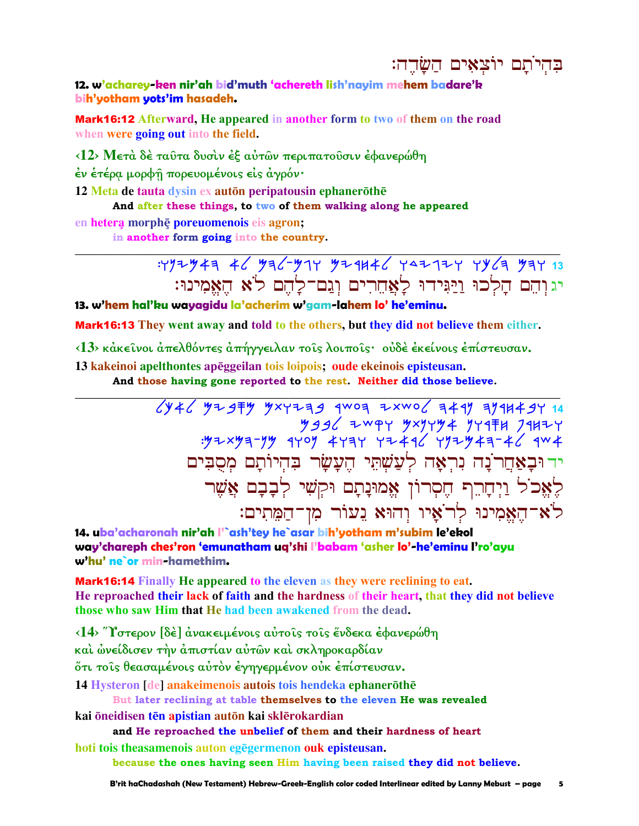בהיתם יוצאים השרה:

12. w'acharey-ken nir'ah bid'muth 'achereth lish'nayim mehem badare'k bih'yotham yots'im hasadeh.

**Mark16:12** Afterward, He appeared in another form to two of them on the road when were going out into the field.

<12> Μετά δέ ταῦτα δυσίν έξ αὐτῶν περιπατοῦσιν έφανερώθη

έν έτέρα μορφή πορευομένοις είς άγρόν·

12 Meta de tauta dysin ex auton peripatousin ephanerothe

And after these things, to two of them walking along he appeared

en hetera morphe poreuomenois eis agron;

in another form going into the country.



13. w'hem hal'ku wayagidu la'acherim w'gam-lahem lo' he'eminu.

**Mark16:13** They went away and told to the others, but they did not believe them either.

<13> κάκεινοι άπελθόντες άπήγγειλαν τοις λοιποις· ούδέ έκείνοις έπίστευσαν.

13 kakeinoi apelthontes apēggeilan tois loipois; oude ekeinois episteusan.

And those having gone reported to the rest. Neither did those believe.

 $\sqrt{(1+1)^2+1}$   $\sqrt{(1+1)^2+1}$   $\sqrt{(1+1)^2+1}$   $\sqrt{(1+1)^2+1}$   $\sqrt{(1+1)^2+1}$   $\sqrt{(1+1)^2+1}$   $\sqrt{(1+1)^2+1}$   $\sqrt{(1+1)^2+1}$   $\sqrt{(1+1)^2+1}$   $\sqrt{(1+1)^2+1}$ ידוּבַאָחֵרנַה נִרְאָה לְעַשְׁתֵּי הֵעֲשַׂר בִּהְיוֹתַם מִסְבִּים לָאֵכֹל וַיִּחָרֵךְ חֵסְרוֹן אֵמוּנָתָם וּקִשִׁי לְבָבָם אֲשֵׁר לֹא־הֵאֲמִינוּ לְרֹאָיו וְהוּא נֵעוֹר מִן־הַמֵּתִים:

14. uba'acharonah nir'ah l'`ash'tey he`asar bih'yotham m'subim le'ekol way'chareph ches'ron 'emunatham ug'shi l'babam 'asher lo'-he'eminu l'ro'ayu w'hu' ne`or min-hamethim.

**Mark16:14** Finally He appeared to the eleven as they were reclining to eat. He reproached their lack of faith and the hardness of their heart, that they did not believe those who saw Him that He had been awakened from the dead.

<14> "Υστερον [δε ] ανακειμένοις αυτοίς τοις ένδεκα εφανερώθη και ώνείδισεν την απιστίαν αυτών και σκληροκαρδίαν ότι τοις θεασαμένοις αύτον έγηγερμένον ούκ επίστευσαν. 14 Hysteron [de] anakeimenois autois tois hendeka ephanerōthē

But later reclining at table themselves to the eleven He was revealed

kai öneidisen tēn apistian autōn kai sklērokardian

and He reproached the unbelief of them and their hardness of heart

hoti tois theasamenois auton egenermenon ouk episteusan.

because the ones having seen Him having been raised they did not believe.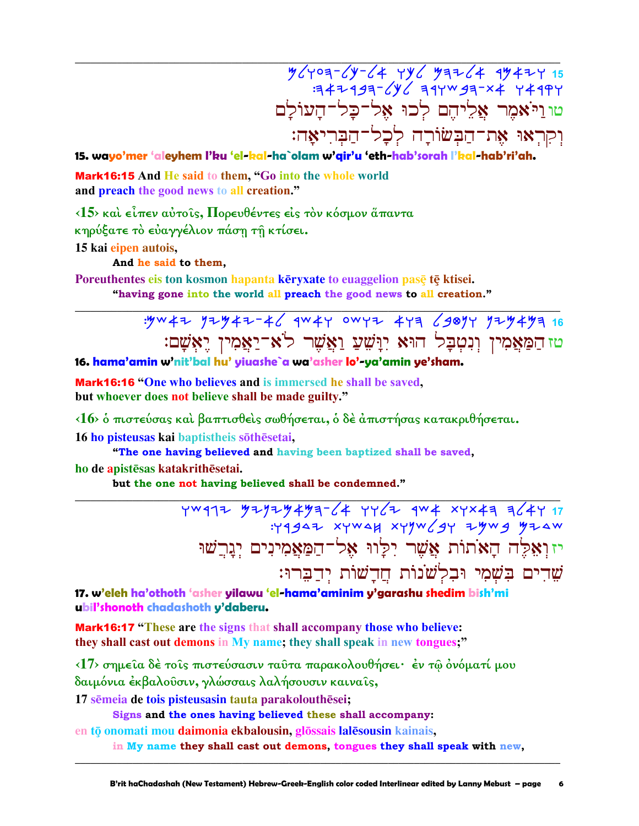$\frac{y}{y-1} = \frac{y}{15}$ טו וייאמר אליהם לכו אל־כל־העולם וִקְרָאוּ אֶת־הַבְשׂוֹרָה לְכָל־הַבְּרִיאָה:

15. wayo'mer 'aleyhem l'ku 'el-kal-ha`olam w'gir'u 'eth-hab'sorah l'kal-hab'ri'ah.

Mark16:15 And He said to them, "Go into the whole world and preach the good news to all creation."

 $\langle 15 \rangle$  και είπεν αύτοις, Πορευθέντες είς τον κόσμον άπαντα κηρύξατε το ευαγγέλιον πάση τη κτίσει.

15 kai eipen autois.

And he said to them,

Poreuthentes eis ton kosmon hapanta kēryxate to euaggelion pasē tē ktisei. "having gone into the world all preach the good news to all creation."

> : yw 42 yz y 42-46 qw 44 ow y 2 4 4 6 90 y 4 y 2 y 4 y 3 16 טז הַמַּאֲמִין וְנִטְבָל הוּא יְוַּשִׁעַ וַאֲשֶׁר לֹא־יַאֲמִין יֵאִשָׁם:

16. hama'amin w'nit'bal hu' yiuashe'a wa'asher lo'-ya'amin ye'sham.

Mark16:16 "One who believes and is immersed he shall be saved, but whoever does not believe shall be made guilty."

<16> δ πιστεύσας και βαπτισθεις σωθήσεται, δ δε άπιστήσας κατακριθήσεται. 16 ho pisteusas kai baptistheis sõthesetai.

"The one having believed and having been baptized shall be saved, ho de apistēsas katakrithēsetai.

but the one not having believed shall be condemned."

7W917 77Y2Y4Y3-64 YY62 9W4 XYX43 364Y 17<br>H944 xyw4y xyw6y yyw6y 4w4w yyw6y יזוְאֵלֶה הָאֹתוֹת אֲשֶׁר יִלַּוּוּ אֵל־הַמַּאֲמִינִים יִגַּרֵשׁוּ שִׁדִים בִּשָׁמִי וּבִלְשֹׁנוֹת חֲדַשׁוֹת יִדְבְּרוּ:

17. w'eleh ha'othoth 'asher yilawu 'el-hama'aminim y'garashu shedim bish'mi ubil'shonoth chadashoth y'daberu.

**Mark16:17** "These are the signs that shall accompany those who believe: they shall cast out demons in My name; they shall speak in new tongues;"

<17> σημεία δέ τοίς πιστεύσασιν ταύτα παρακολουθήσει· έν τω όνόματί μου δαιμόνια έκβαλοῦσιν, γλώσσαις λαλήσουσιν καιναῖς,

17 sēmeja de tois pisteusasin tauta parakolouthēsei;

Signs and the ones having believed these shall accompany:

en tō onomati mou daimonia ekbalousin, glōssais lalēsousin kainais,

in My name they shall cast out demons, tongues they shall speak with new,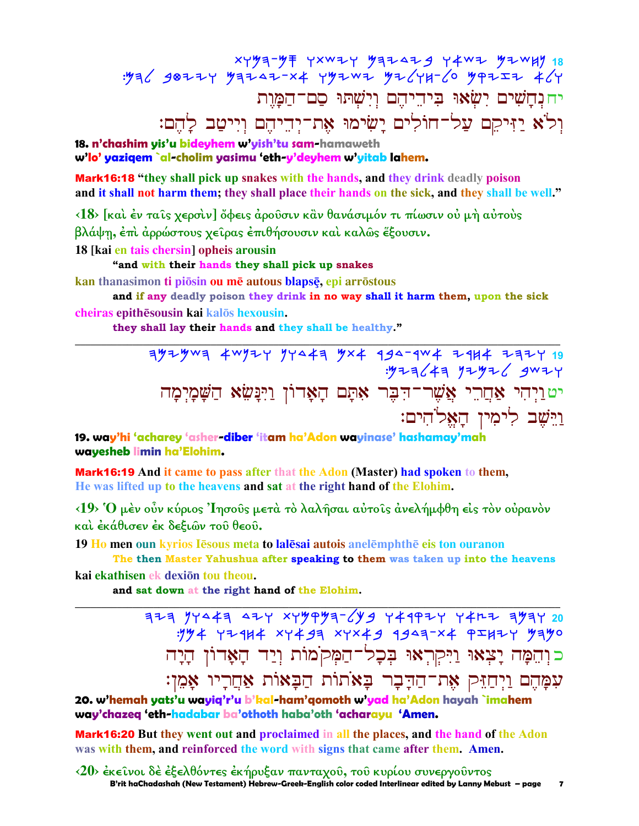יח נחשים ישאו ביהיהם וישתו סם־המות וְלֹא יַזִּיקֵם עַל־חוֹלִים יָשִׂימוּ אֶת־יִדִיהֵם וְיִיטַב לַהֵם:

18. n'chashim yis'u bideyhem w'yish'tu sam-hamaweth w'lo' yaziqem `al-cholim yasimu 'eth-y'deyhem w'yitab lahem.

**Mark16:18** "they shall pick up snakes with the hands, and they drink deadly poison and it shall not harm them; they shall place their hands on the sick, and they shall be well."

<18> [και έν ταίς χερσιν] ὄφεις άρουσιν κἂν θανάσιμόν τι πίωσιν ου μή αυτους βλάψη, έπι αρρώστους χείρας επιθήσουσιν και καλώς έξουσιν.

18 [kai en tais chersin] opheis arousin

"and with their hands they shall pick up snakes

kan thanasimon ti piōsin ou mē autous blapsē, epi arrōstous

and if any deadly poison they drink in no way shall it harm them, upon the sick cheiras epithēsousin kai kalos hexousin.

they shall lay their hands and they shall be healthy."

19. way'hi 'acharey 'asher-diber 'itam ha'Adon wayinase' hashamay'mah wayesheb limin ha'Elohim.

**Mark16:19** And it came to pass after that the Adon (Master) had spoken to them, He was lifted up to the heavens and sat at the right hand of the Elohim.

<19> Ό μέν ούν κύριος Ίησους μετά το λαλήσαι αύτοις άνελήμφθη είς τον ούρανον και έκάθισεν έκ δεξιών του θεου.

19 Ho men oun kyrios Iesous meta to lalesai autois anelemphthe eis ton ouranon

The then Master Yahushua after speaking to them was taken up into the heavens kai ekathisen ek dexiōn tou theou.

and sat down at the right hand of the Elohim.

323 94443 424 x49993-699 449924 4412 3934 20  $.994$  YZ 114 XY 493 XYX 49 1943-X4 PIHZY 9390 כוְהֵמָּה יָצְאוּ וַיִּקְרְאוּ בִּכָל־הַמְּקֹמוֹת וְיַד הָאֲדוֹן הָיָה עִמָּהֵם וַיִּחַזִּק אֵת־הַדָּבָר בָּאֹתוֹת הַבָּאוֹת אַחֲרָיו אָמֵן:

20. w'hemah yats'u wayiq'r'u b'kal-ham'qomoth w'yad ha'Adon hayah `imahem way'chazeq 'eth-hadabar ba'othoth haba'oth 'acharayu 'Amen.

Mark16:20 But they went out and proclaimed in all the places, and the hand of the Adon was with them, and reinforced the word with signs that came after them. Amen.